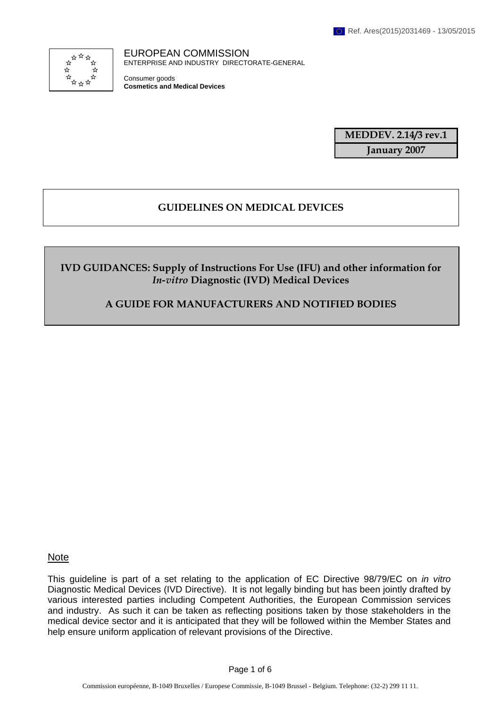

EUROPEAN COMMISSION ENTERPRISE AND INDUSTRY DIRECTORATE-GENERAL

Consumer goods **Cosmetics and Medical Devices**

> **MEDDEV. 2.14/3 rev.1 January 2007**

# **GUIDELINES ON MEDICAL DEVICES**

**IVD GUIDANCES: Supply of Instructions For Use (IFU) and other information for**  *In-vitro* **Diagnostic (IVD) Medical Devices** 

**A GUIDE FOR MANUFACTURERS AND NOTIFIED BODIES** 

Note

This guideline is part of a set relating to the application of EC Directive 98/79/EC on *in vitro* Diagnostic Medical Devices (IVD Directive). It is not legally binding but has been jointly drafted by various interested parties including Competent Authorities, the European Commission services and industry. As such it can be taken as reflecting positions taken by those stakeholders in the medical device sector and it is anticipated that they will be followed within the Member States and help ensure uniform application of relevant provisions of the Directive.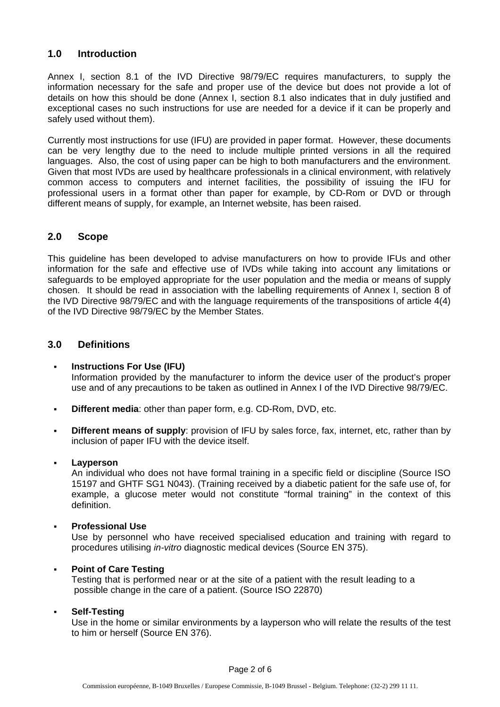## **1.0 Introduction**

Annex I, section 8.1 of the IVD Directive 98/79/EC requires manufacturers, to supply the information necessary for the safe and proper use of the device but does not provide a lot of details on how this should be done (Annex I, section 8.1 also indicates that in duly justified and exceptional cases no such instructions for use are needed for a device if it can be properly and safely used without them).

Currently most instructions for use (IFU) are provided in paper format. However, these documents can be very lengthy due to the need to include multiple printed versions in all the required languages. Also, the cost of using paper can be high to both manufacturers and the environment. Given that most IVDs are used by healthcare professionals in a clinical environment, with relatively common access to computers and internet facilities, the possibility of issuing the IFU for professional users in a format other than paper for example, by CD-Rom or DVD or through different means of supply, for example, an Internet website, has been raised.

## **2.0 Scope**

This guideline has been developed to advise manufacturers on how to provide IFUs and other information for the safe and effective use of IVDs while taking into account any limitations or safeguards to be employed appropriate for the user population and the media or means of supply chosen. It should be read in association with the labelling requirements of Annex I, section 8 of the IVD Directive 98/79/EC and with the language requirements of the transpositions of article 4(4) of the IVD Directive 98/79/EC by the Member States.

## **3.0 Definitions**

- **Instructions For Use (IFU)** Information provided by the manufacturer to inform the device user of the product's proper use and of any precautions to be taken as outlined in Annex I of the IVD Directive 98/79/EC.
- **Different media**: other than paper form, e.g. CD-Rom, DVD, etc.
- **Different means of supply**: provision of IFU by sales force, fax, internet, etc, rather than by inclusion of paper IFU with the device itself.

#### **Layperson**

 An individual who does not have formal training in a specific field or discipline (Source ISO 15197 and GHTF SG1 N043). (Training received by a diabetic patient for the safe use of, for example, a glucose meter would not constitute "formal training" in the context of this definition.

#### **Professional Use**

 Use by personnel who have received specialised education and training with regard to procedures utilising *in-vitro* diagnostic medical devices (Source EN 375).

#### **Point of Care Testing**

 Testing that is performed near or at the site of a patient with the result leading to a possible change in the care of a patient. (Source ISO 22870)

#### **Self-Testing**

Use in the home or similar environments by a layperson who will relate the results of the test to him or herself (Source EN 376).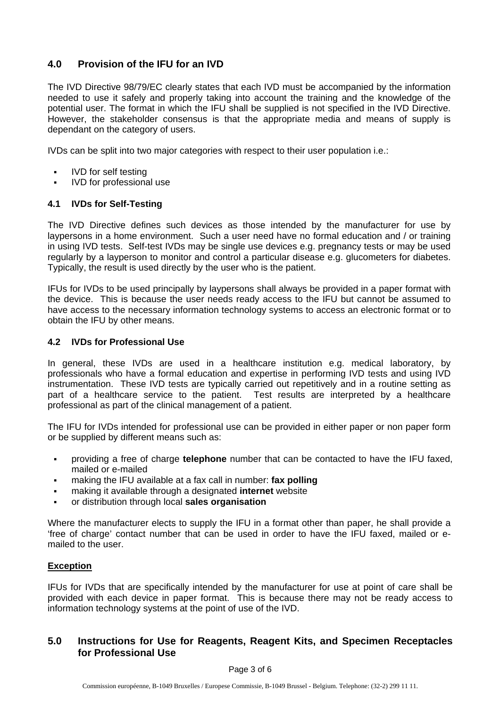# **4.0 Provision of the IFU for an IVD**

The IVD Directive 98/79/EC clearly states that each IVD must be accompanied by the information needed to use it safely and properly taking into account the training and the knowledge of the potential user. The format in which the IFU shall be supplied is not specified in the IVD Directive. However, the stakeholder consensus is that the appropriate media and means of supply is dependant on the category of users.

IVDs can be split into two major categories with respect to their user population i.e.:

- IVD for self testing
- **IVD** for professional use

### **4.1 IVDs for Self-Testing**

The IVD Directive defines such devices as those intended by the manufacturer for use by laypersons in a home environment. Such a user need have no formal education and / or training in using IVD tests. Self-test IVDs may be single use devices e.g. pregnancy tests or may be used regularly by a layperson to monitor and control a particular disease e.g. glucometers for diabetes. Typically, the result is used directly by the user who is the patient.

IFUs for IVDs to be used principally by laypersons shall always be provided in a paper format with the device. This is because the user needs ready access to the IFU but cannot be assumed to have access to the necessary information technology systems to access an electronic format or to obtain the IFU by other means.

## **4.2 IVDs for Professional Use**

In general, these IVDs are used in a healthcare institution e.g. medical laboratory, by professionals who have a formal education and expertise in performing IVD tests and using IVD instrumentation. These IVD tests are typically carried out repetitively and in a routine setting as part of a healthcare service to the patient. Test results are interpreted by a healthcare professional as part of the clinical management of a patient.

The IFU for IVDs intended for professional use can be provided in either paper or non paper form or be supplied by different means such as:

- providing a free of charge **telephone** number that can be contacted to have the IFU faxed, mailed or e-mailed
- making the IFU available at a fax call in number: **fax polling**
- making it available through a designated **internet** website
- or distribution through local **sales organisation**

Where the manufacturer elects to supply the IFU in a format other than paper, he shall provide a 'free of charge' contact number that can be used in order to have the IFU faxed, mailed or emailed to the user.

#### **Exception**

IFUs for IVDs that are specifically intended by the manufacturer for use at point of care shall be provided with each device in paper format. This is because there may not be ready access to information technology systems at the point of use of the IVD.

## **5.0 Instructions for Use for Reagents, Reagent Kits, and Specimen Receptacles for Professional Use**

#### Page 3 of 6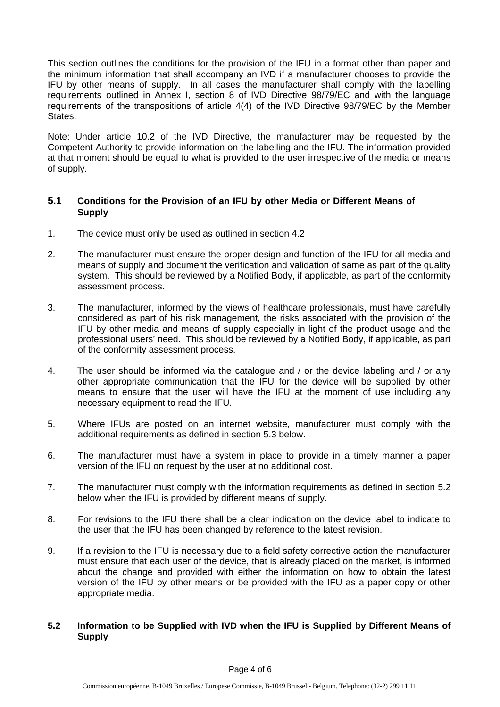This section outlines the conditions for the provision of the IFU in a format other than paper and the minimum information that shall accompany an IVD if a manufacturer chooses to provide the IFU by other means of supply. In all cases the manufacturer shall comply with the labelling requirements outlined in Annex I, section 8 of IVD Directive 98/79/EC and with the language requirements of the transpositions of article 4(4) of the IVD Directive 98/79/EC by the Member States.

Note: Under article 10.2 of the IVD Directive, the manufacturer may be requested by the Competent Authority to provide information on the labelling and the IFU. The information provided at that moment should be equal to what is provided to the user irrespective of the media or means of supply.

## **5.1 Conditions for the Provision of an IFU by other Media or Different Means of Supply**

- 1. The device must only be used as outlined in section 4.2
- 2. The manufacturer must ensure the proper design and function of the IFU for all media and means of supply and document the verification and validation of same as part of the quality system. This should be reviewed by a Notified Body, if applicable, as part of the conformity assessment process.
- 3. The manufacturer, informed by the views of healthcare professionals, must have carefully considered as part of his risk management, the risks associated with the provision of the IFU by other media and means of supply especially in light of the product usage and the professional users' need. This should be reviewed by a Notified Body, if applicable, as part of the conformity assessment process.
- 4. The user should be informed via the catalogue and / or the device labeling and / or any other appropriate communication that the IFU for the device will be supplied by other means to ensure that the user will have the IFU at the moment of use including any necessary equipment to read the IFU.
- 5. Where IFUs are posted on an internet website, manufacturer must comply with the additional requirements as defined in section 5.3 below.
- 6. The manufacturer must have a system in place to provide in a timely manner a paper version of the IFU on request by the user at no additional cost.
- 7. The manufacturer must comply with the information requirements as defined in section 5.2 below when the IFU is provided by different means of supply.
- 8. For revisions to the IFU there shall be a clear indication on the device label to indicate to the user that the IFU has been changed by reference to the latest revision.
- 9. If a revision to the IFU is necessary due to a field safety corrective action the manufacturer must ensure that each user of the device, that is already placed on the market, is informed about the change and provided with either the information on how to obtain the latest version of the IFU by other means or be provided with the IFU as a paper copy or other appropriate media.

## **5.2 Information to be Supplied with IVD when the IFU is Supplied by Different Means of Supply**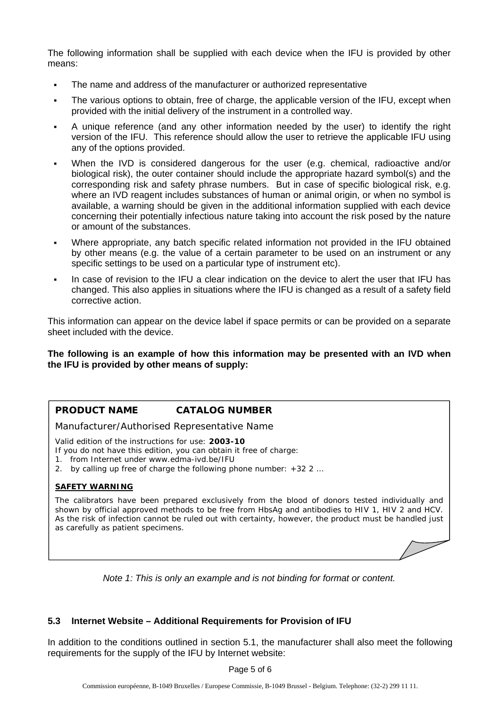The following information shall be supplied with each device when the IFU is provided by other means:

- The name and address of the manufacturer or authorized representative
- The various options to obtain, free of charge, the applicable version of the IFU, except when provided with the initial delivery of the instrument in a controlled way.
- A unique reference (and any other information needed by the user) to identify the right version of the IFU. This reference should allow the user to retrieve the applicable IFU using any of the options provided.
- When the IVD is considered dangerous for the user (e.g. chemical, radioactive and/or biological risk), the outer container should include the appropriate hazard symbol(s) and the corresponding risk and safety phrase numbers. But in case of specific biological risk, e.g. where an IVD reagent includes substances of human or animal origin, or when no symbol is available, a warning should be given in the additional information supplied with each device concerning their potentially infectious nature taking into account the risk posed by the nature or amount of the substances.
- Where appropriate, any batch specific related information not provided in the IFU obtained by other means (e.g. the value of a certain parameter to be used on an instrument or any specific settings to be used on a particular type of instrument etc).
- In case of revision to the IFU a clear indication on the device to alert the user that IFU has changed. This also applies in situations where the IFU is changed as a result of a safety field corrective action.

This information can appear on the device label if space permits or can be provided on a separate sheet included with the device.

**The following is an example of how this information may be presented with an IVD when the IFU is provided by other means of supply:** 

## **PRODUCT NAME CATALOG NUMBER**

Manufacturer/Authorised Representative Name

Valid edition of the instructions for use: **2003-10**

- If you do not have this edition, you can obtain it free of charge:
- *1.* from Internet under *www.edma-ivd.be/IFU*
- 2. by calling up free of charge the following phone number: *+32 2 …*

#### **SAFETY WARNING**

The calibrators have been prepared exclusively from the blood of donors tested individually and shown by official approved methods to be free from HbsAg and antibodies to HIV 1, HIV 2 and HCV. As the risk of infection cannot be ruled out with certainty, however, the product must be handled just as carefully as patient specimens.

*Note 1: This is only an example and is not binding for format or content.*

## **5.3 Internet Website – Additional Requirements for Provision of IFU**

In addition to the conditions outlined in section 5.1, the manufacturer shall also meet the following requirements for the supply of the IFU by Internet website:

Page 5 of 6